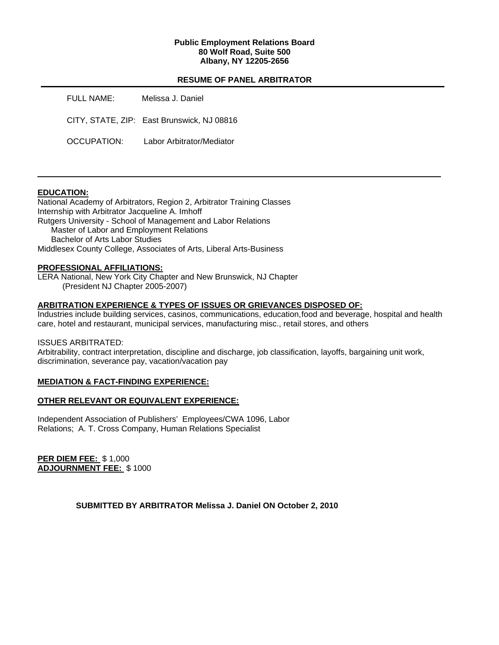## **Public Employment Relations Board 80 Wolf Road, Suite 500 Albany, NY 12205-2656**

# **RESUME OF PANEL ARBITRATOR**

| FULL NAME:  | Melissa J. Daniel                          |
|-------------|--------------------------------------------|
|             | CITY, STATE, ZIP: East Brunswick, NJ 08816 |
| OCCUPATION: | Labor Arbitrator/Mediator                  |

## **EDUCATION:**

National Academy of Arbitrators, Region 2, Arbitrator Training Classes Internship with Arbitrator Jacqueline A. Imhoff Rutgers University - School of Management and Labor Relations Master of Labor and Employment Relations Bachelor of Arts Labor Studies Middlesex County College, Associates of Arts, Liberal Arts-Business

## **PROFESSIONAL AFFILIATIONS:**

LERA National, New York City Chapter and New Brunswick, NJ Chapter (President NJ Chapter 2005-2007)

## **ARBITRATION EXPERIENCE & TYPES OF ISSUES OR GRIEVANCES DISPOSED OF:**

Industries include building services, casinos, communications, education, food and beverage, hospital and health care, hotel and restaurant, municipal services, manufacturing misc., retail stores, and others

#### ISSUES ARBITRATED:

Arbitrability, contract interpretation, discipline and discharge, job classification, layoffs, bargaining unit work, discrimination, severance pay, vacation/vacation pay

## **MEDIATION & FACT-FINDING EXPERIENCE:**

## **OTHER RELEVANT OR EQUIVALENT EXPERIENCE:**

Independent Association of Publishers' Employees/CWA 1096, Labor Relations; A. T. Cross Company, Human Relations Specialist

**PER DIEM FEE:** \$ 1,000 **ADJOURNMENT FEE:** \$ 1000

**SUBMITTED BY ARBITRATOR Melissa J. Daniel ON October 2, 2010**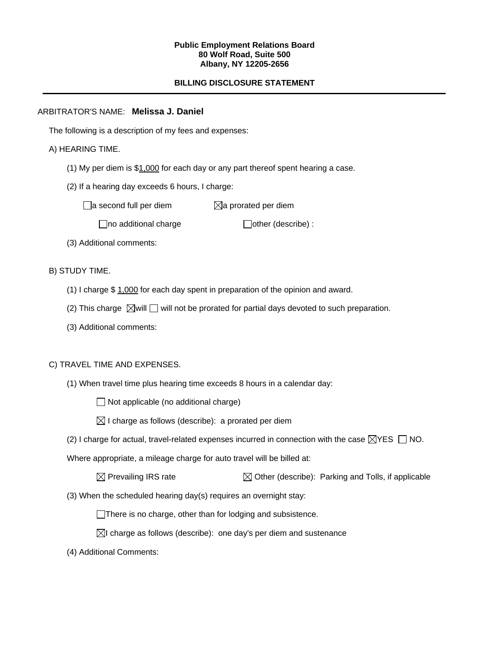#### **Public Employment Relations Board 80 Wolf Road, Suite 500 Albany, NY 12205-2656**

# **BILLING DISCLOSURE STATEMENT**

## ARBITRATOR'S NAME: **Melissa J. Daniel**

The following is a description of my fees and expenses:

# A) HEARING TIME.

- (1) My per diem is \$1,000 for each day or any part thereof spent hearing a case.
- (2) If a hearing day exceeds 6 hours, I charge:

 $\Box$ a second full per diem  $\boxtimes$ a prorated per diem

 $\Box$ no additional charge  $\Box$ other (describe) :

(3) Additional comments:

B) STUDY TIME.

- (1) I charge \$ 1,000 for each day spent in preparation of the opinion and award.
- (2) This charge  $\boxtimes$  will  $\Box$  will not be prorated for partial days devoted to such preparation.
- (3) Additional comments:

## C) TRAVEL TIME AND EXPENSES.

(1) When travel time plus hearing time exceeds 8 hours in a calendar day:

 $\Box$  Not applicable (no additional charge)

 $\boxtimes$  I charge as follows (describe): a prorated per diem

(2) I charge for actual, travel-related expenses incurred in connection with the case  $\boxtimes$ YES  $\Box$  NO.

Where appropriate, a mileage charge for auto travel will be billed at:

| $\boxtimes$ Prevailing IRS rate | $\boxtimes$ Other (describe): Parking and Tolls, if applicable |
|---------------------------------|----------------------------------------------------------------|
|---------------------------------|----------------------------------------------------------------|

(3) When the scheduled hearing day(s) requires an overnight stay:

There is no charge, other than for lodging and subsistence.

- $\boxtimes$ I charge as follows (describe): one day's per diem and sustenance
- (4) Additional Comments: